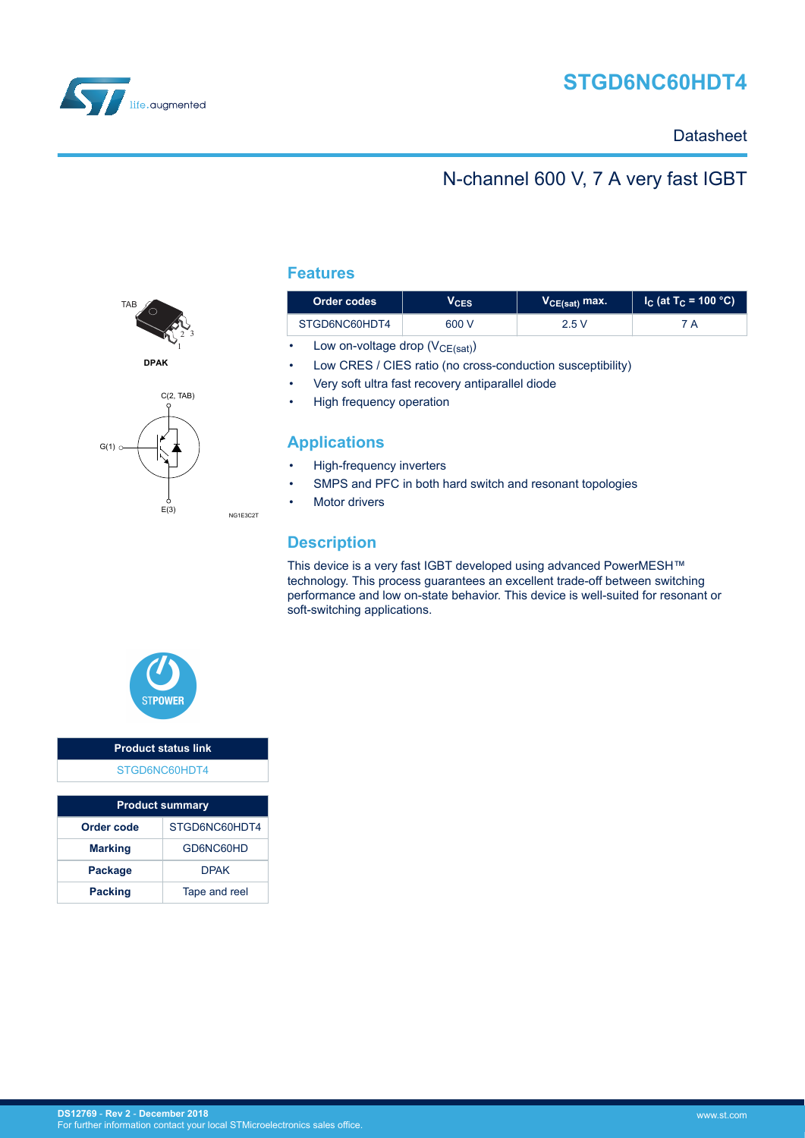



### **Datasheet**

### N-channel 600 V, 7 A very fast IGBT



**DPAK**



**Features**

| Order codes   | VCES  | V <sub>CE(sat)</sub> max. | $I_{\rm C}$ (at T $_{\rm C}$ = 100 °C) I |
|---------------|-------|---------------------------|------------------------------------------|
| STGD6NC60HDT4 | 600 V | 2.5 V                     | 7 A                                      |

• Low on-voltage drop  $(V_{CE(sat)})$ 

- Low CRES / CIES ratio (no cross-conduction susceptibility)
- Very soft ultra fast recovery antiparallel diode
- High frequency operation

### **Applications**

- High-frequency inverters
- SMPS and PFC in both hard switch and resonant topologies
- **Motor drivers**

### **Description**

NG1E3C2T

This device is a very fast IGBT developed using advanced PowerMESH™ technology. This process guarantees an excellent trade-off between switching performance and low on-state behavior. This device is well-suited for resonant or soft-switching applications.



### **Product status link** [STGD6NC60HDT4](https://www.st.com/en/product/stgd6nc60hdt4)

| <b>Product summary</b>          |             |  |  |  |
|---------------------------------|-------------|--|--|--|
| STGD6NC60HDT4<br>Order code     |             |  |  |  |
| <b>Marking</b>                  | GD6NC60HD   |  |  |  |
| <b>Package</b>                  | <b>DPAK</b> |  |  |  |
| <b>Packing</b><br>Tape and reel |             |  |  |  |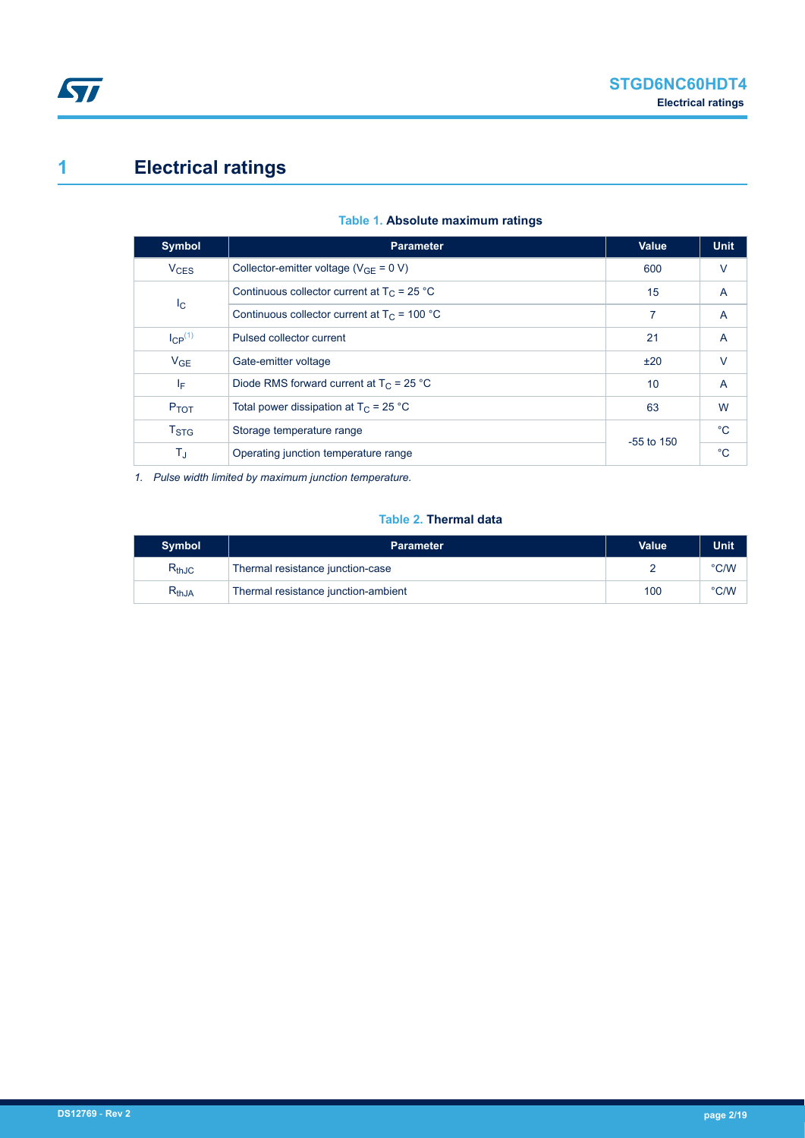# <span id="page-1-0"></span>**1 Electrical ratings**

| <b>Parameter</b>                                             | <b>Value</b> | <b>Unit</b>        |
|--------------------------------------------------------------|--------------|--------------------|
| Collector-emitter voltage ( $V_{GF} = 0 V$ )                 | 600          | V                  |
| Continuous collector current at $T_C = 25 °C$<br>$I_{\rm C}$ |              | A                  |
| Continuous collector current at $T_C = 100 °C$               | 7            | $\overline{A}$     |
| Pulsed collector current                                     | 21           | A                  |
| Gate-emitter voltage                                         | ±20          | $\vee$             |
| Diode RMS forward current at $T_C = 25 °C$                   | 10           | $\overline{A}$     |
| Total power dissipation at $T_C = 25 °C$                     | 63           | W                  |
| Storage temperature range                                    |              | $^{\circ}C$        |
| T.<br>Operating junction temperature range                   |              | $^{\circ}$ C       |
|                                                              |              | 15<br>$-55$ to 150 |

### **Table 1. Absolute maximum ratings**

*1. Pulse width limited by maximum junction temperature.*

#### **Table 2. Thermal data**

| <b>Symbol</b> | <b>Parameter</b>                    | <b>Value</b> | Unit          |
|---------------|-------------------------------------|--------------|---------------|
| $R_{thJC}$    | Thermal resistance junction-case    |              | $\degree$ C/W |
| $R_{thJA}$    | Thermal resistance junction-ambient | 100          | $\degree$ C/W |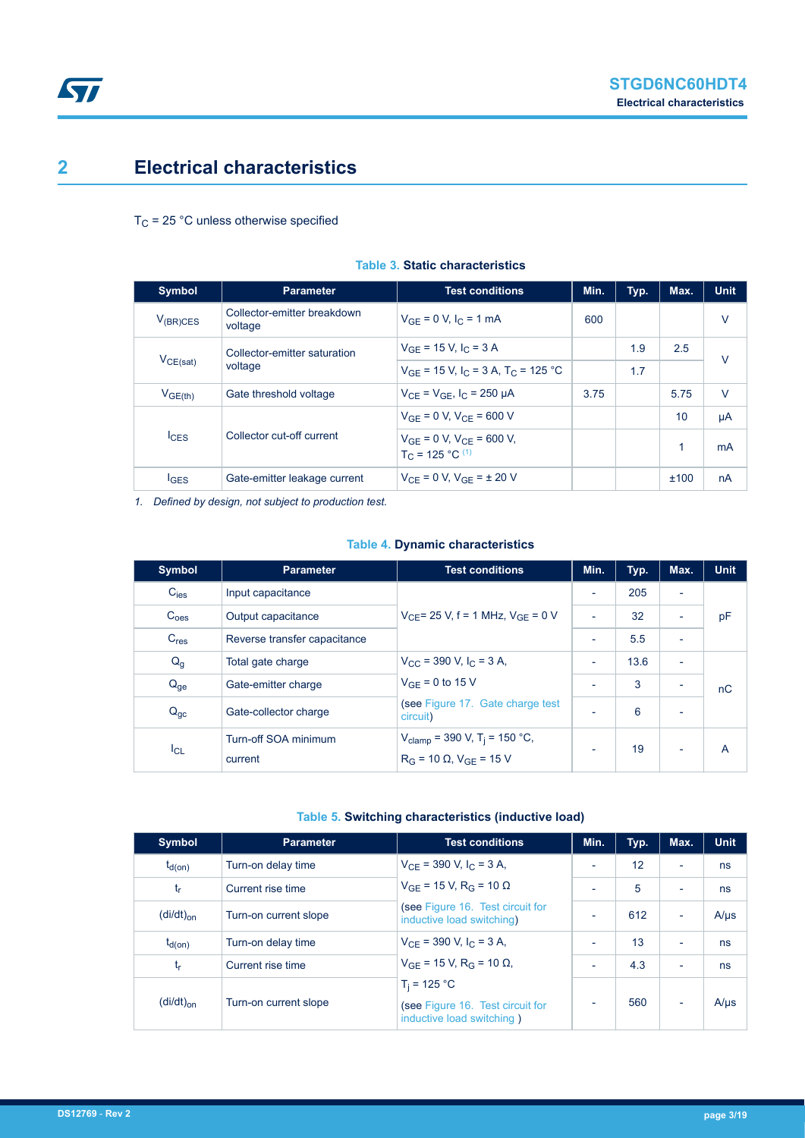# <span id="page-2-0"></span>**2 Electrical characteristics**

 $T_C$  = 25 °C unless otherwise specified

| <b>Symbol</b>    | <b>Parameter</b>                       | <b>Test conditions</b>                                         | Min. | Typ. | Max. | <b>Unit</b> |
|------------------|----------------------------------------|----------------------------------------------------------------|------|------|------|-------------|
| $V_{(BR)CES}$    | Collector-emitter breakdown<br>voltage | $V_{GF} = 0 V, I_C = 1 mA$                                     | 600  |      |      | $\vee$      |
|                  | Collector-emitter saturation           | $V_{GF}$ = 15 V, $I_C$ = 3 A                                   |      | 1.9  | 2.5  | $\vee$      |
| $V_{CE(sat)}$    | voltage                                | $V_{GF}$ = 15 V, I <sub>C</sub> = 3 A, T <sub>C</sub> = 125 °C |      | 1.7  |      |             |
| $V_{GE(th)}$     | Gate threshold voltage                 | $V_{CF} = V_{GF}$ , $I_C = 250 \mu A$                          | 3.75 |      | 5.75 | $\vee$      |
|                  |                                        | $V_{GF} = 0 V, V_{CF} = 600 V$                                 |      |      | 10   | μA          |
| $l_{\text{CES}}$ | Collector cut-off current              | $V_{GE} = 0 V$ , $V_{CE} = 600 V$ ,<br>$T_c = 125 °C^{(1)}$    |      |      | 1    | mA          |
| $I_{GES}$        | Gate-emitter leakage current           | $V_{CF} = 0 V$ , $V_{GF} = \pm 20 V$                           |      |      | ±100 | nA          |

#### **Table 3. Static characteristics**

*1. Defined by design, not subject to production test.*

### **Table 4. Dynamic characteristics**

| <b>Symbol</b>    | <b>Parameter</b>                | <b>Test conditions</b>                                                                      | Min. | Typ. | Max.                     | <b>Unit</b> |
|------------------|---------------------------------|---------------------------------------------------------------------------------------------|------|------|--------------------------|-------------|
| $C_{\text{ies}}$ | Input capacitance               |                                                                                             |      | 205  |                          |             |
| C <sub>oes</sub> | Output capacitance              | $V_{CF}$ = 25 V, f = 1 MHz, $V_{GF}$ = 0 V                                                  |      | 32   |                          | pF          |
| C <sub>res</sub> | Reverse transfer capacitance    |                                                                                             |      | 5.5  | $\overline{\phantom{0}}$ |             |
| $Q_g$            | Total gate charge               | $V_{\rm CC}$ = 390 V, I <sub>C</sub> = 3 A,                                                 |      | 13.6 | $\overline{\phantom{a}}$ |             |
| $Q_{ge}$         | Gate-emitter charge             | $V_{GF} = 0$ to 15 V                                                                        |      | 3    |                          | nC          |
| $Q_{gc}$         | Gate-collector charge           | (see Figure 17. Gate charge test<br>circuit)                                                |      | 6    | $\overline{\phantom{a}}$ |             |
| $I_{CL}$         | Turn-off SOA minimum<br>current | $V_{\text{clamp}}$ = 390 V, T <sub>j</sub> = 150 °C,<br>$R_G = 10 \Omega$ , $V_{GF} = 15 V$ |      | 19   | $\overline{\phantom{0}}$ | A           |

#### **Table 5. Switching characteristics (inductive load)**

| <b>Symbol</b>                            | <b>Parameter</b>      | <b>Test conditions</b>                                        | Min.                     | Typ. | Max.                     | <b>Unit</b> |
|------------------------------------------|-----------------------|---------------------------------------------------------------|--------------------------|------|--------------------------|-------------|
| $t_{d(0n)}$                              | Turn-on delay time    | $V_{CF}$ = 390 V, I <sub>C</sub> = 3 A,                       |                          | 12   | $\overline{\phantom{0}}$ | ns          |
| t,                                       | Current rise time     | $V_{GF}$ = 15 V, R <sub>G</sub> = 10 Ω                        |                          | 5    | $\overline{\phantom{0}}$ | ns          |
| $(di/dt)_{on}$                           | Turn-on current slope | (see Figure 16. Test circuit for<br>inductive load switching) |                          | 612  | $\blacksquare$           | $A/\mu s$   |
| $t_{d(on)}$                              | Turn-on delay time    | $V_{CF}$ = 390 V, I <sub>C</sub> = 3 A,                       | $\overline{\phantom{0}}$ | 13   | $\overline{\phantom{0}}$ | ns          |
| t,                                       | Current rise time     | $V_{GF}$ = 15 V, R <sub>G</sub> = 10 $\Omega$ ,               |                          | 4.3  | $\overline{\phantom{0}}$ | ns          |
|                                          |                       | $T_i = 125 °C$                                                |                          |      |                          |             |
| $\left(\frac{di}{dt}\right)_{\text{on}}$ | Turn-on current slope | (see Figure 16. Test circuit for<br>inductive load switching) |                          | 560  |                          | $A/\mu s$   |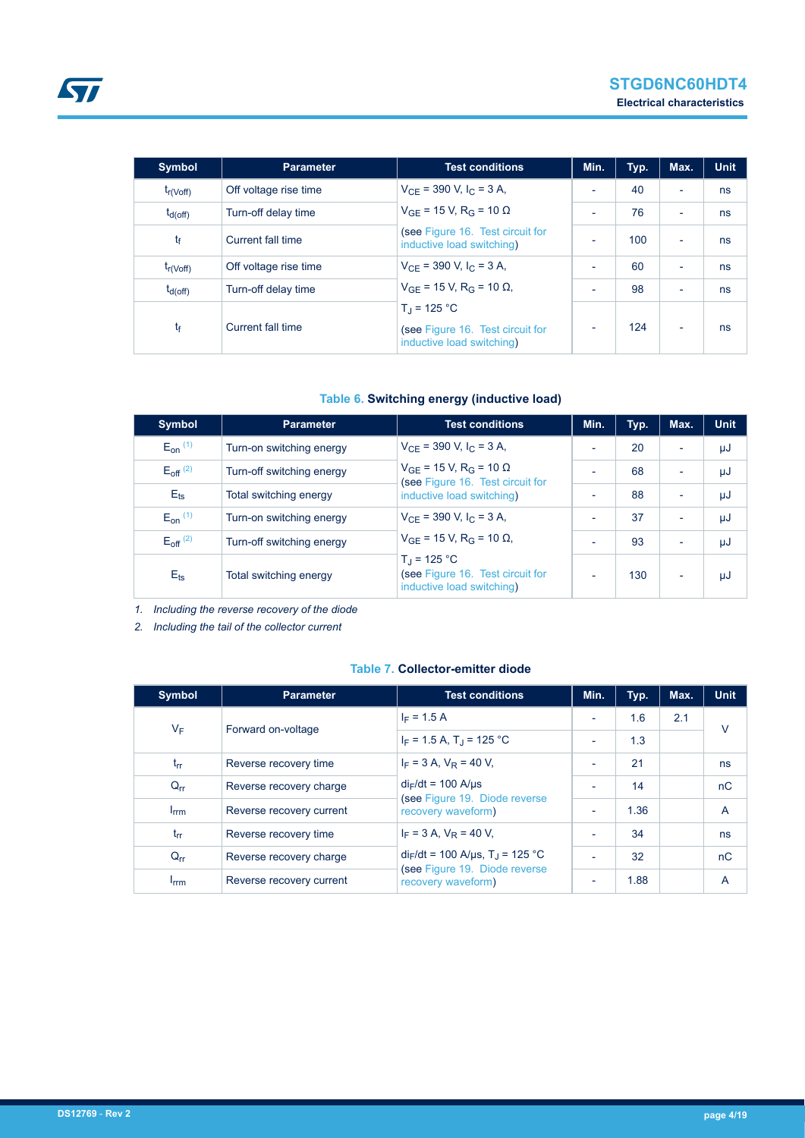| <b>Symbol</b>  | <b>Parameter</b>      | <b>Test conditions</b>                                                                | Min. | Typ. | Max.                     | <b>Unit</b> |
|----------------|-----------------------|---------------------------------------------------------------------------------------|------|------|--------------------------|-------------|
| $t_{r(Voff)}$  | Off voltage rise time | $V_{CF}$ = 390 V, I <sub>C</sub> = 3 A,                                               |      | 40   | $\overline{\phantom{a}}$ | ns          |
| $t_{d(off)}$   | Turn-off delay time   | $V_{GF}$ = 15 V, R <sub>G</sub> = 10 $\Omega$                                         |      | 76   | ٠                        | ns          |
| t <sub>f</sub> | Current fall time     | (see Figure 16. Test circuit for<br>inductive load switching)                         |      | 100  | $\overline{\phantom{a}}$ | ns          |
| $t_{r(Voff)}$  | Off voltage rise time | $V_{CF}$ = 390 V, I <sub>C</sub> = 3 A,                                               |      | 60   | ٠                        | ns          |
| $t_{d(off)}$   | Turn-off delay time   | $V_{GE}$ = 15 V, R <sub>G</sub> = 10 $\Omega$ ,                                       |      | 98   | $\overline{\phantom{0}}$ | ns          |
| tf             | Current fall time     | $T_{\rm d}$ = 125 °C<br>(see Figure 16. Test circuit for<br>inductive load switching) |      | 124  | $\overline{\phantom{a}}$ | ns          |

### **Table 6. Switching energy (inductive load)**

| Symbol                 | <b>Parameter</b>          | <b>Test conditions</b>                                                            | Min. | Typ. | Max.                     | <b>Unit</b> |
|------------------------|---------------------------|-----------------------------------------------------------------------------------|------|------|--------------------------|-------------|
| $E_{on}$ $(1)$         | Turn-on switching energy  | $V_{CF}$ = 390 V, I <sub>C</sub> = 3 A,                                           |      | 20   | ×,                       | μJ          |
| $E_{\text{off}}^{(2)}$ | Turn-off switching energy | $V_{GE}$ = 15 V, R <sub>G</sub> = 10 $\Omega$<br>(see Figure 16. Test circuit for |      | 68   | $\overline{\phantom{a}}$ | μJ          |
| $E$ <sub>ts</sub>      | Total switching energy    | inductive load switching)                                                         |      | 88   | $\overline{\phantom{a}}$ | μJ          |
| $E_{on}$ $(1)$         | Turn-on switching energy  | $V_{CF}$ = 390 V, I <sub>C</sub> = 3 A,                                           |      | 37   | $\overline{\phantom{a}}$ | μJ          |
| $E_{\text{off}}^{(2)}$ | Turn-off switching energy | $V_{GF}$ = 15 V, R <sub>G</sub> = 10 $\Omega$ ,                                   |      | 93   | ٠                        | μJ          |
| $E_{\text{ts}}$        | Total switching energy    | $T_{d}$ = 125 °C<br>(see Figure 16. Test circuit for<br>inductive load switching) |      | 130  | $\overline{\phantom{a}}$ | μJ          |

*1. Including the reverse recovery of the diode*

*2. Including the tail of the collector current*

#### **Table 7. Collector-emitter diode**

| <b>Symbol</b>          | <b>Parameter</b>         | <b>Test conditions</b>                                                                               | Min. | Typ. | Max. | <b>Unit</b> |
|------------------------|--------------------------|------------------------------------------------------------------------------------------------------|------|------|------|-------------|
|                        | Forward on-voltage       | $I_F = 1.5 A$                                                                                        |      | 1.6  | 2.1  | v           |
| $V_F$                  |                          | $I_F = 1.5 A$ , $T_J = 125 °C$                                                                       |      | 1.3  |      |             |
| $t_{rr}$               | Reverse recovery time    | $I_F$ = 3 A, $V_R$ = 40 V,                                                                           |      | 21   |      | ns          |
| $Q_{rr}$               | Reverse recovery charge  | $di_F/dt = 100$ A/us                                                                                 |      | 14   |      | nC          |
| $I_{\text{rrm}}$       | Reverse recovery current | (see Figure 19. Diode reverse<br>recovery waveform)                                                  |      | 1.36 |      | A           |
| $t_{rr}$               | Reverse recovery time    | $I_F = 3 A$ , $V_R = 40 V$ ,                                                                         |      | 34   |      | ns          |
| $Q_{rr}$               | Reverse recovery charge  | $di_F/dt = 100$ A/µs, T <sub>J</sub> = 125 °C<br>(see Figure 19. Diode reverse<br>recovery waveform) |      | 32   |      | nC          |
| <b>I</b> <sub>rm</sub> | Reverse recovery current |                                                                                                      |      | 1.88 |      | A           |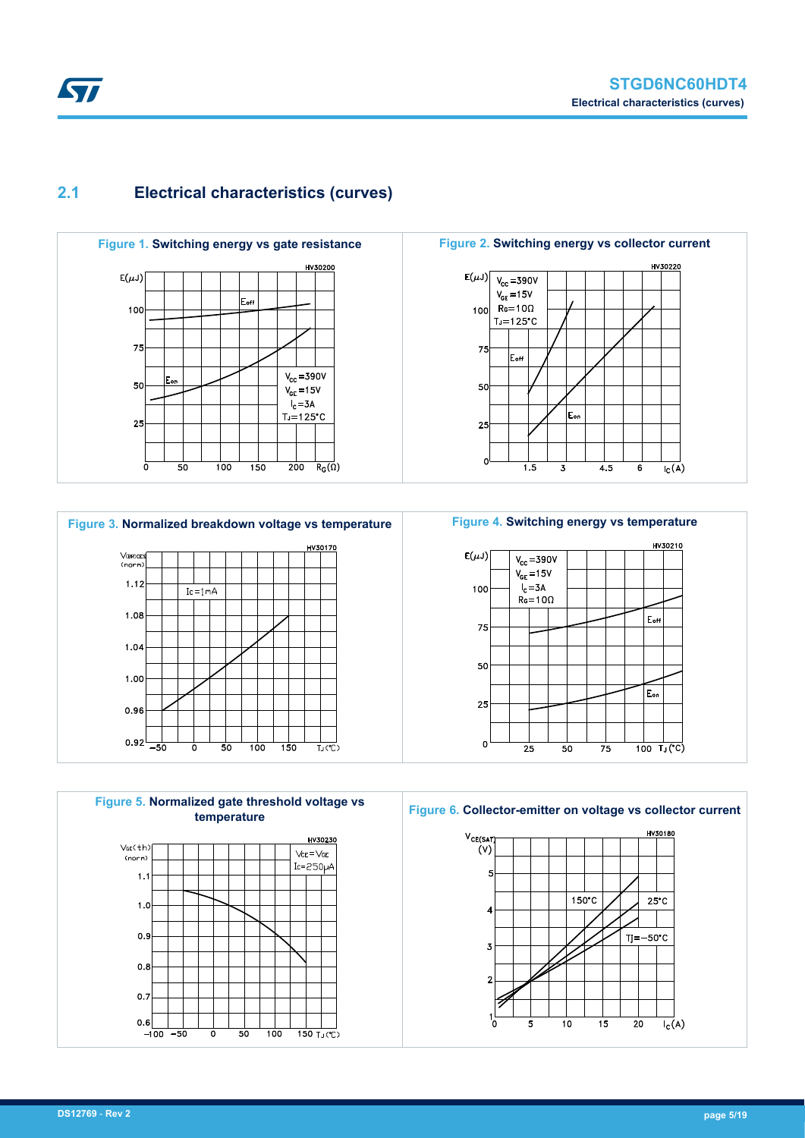## **2.1 Electrical characteristics (curves)**

<span id="page-4-0"></span>*EAL* 



HV30220  $E(\mu J)$  $V_{cc} = 390V$  $V_{GE} = 15V$  $Re = 10\Omega$ 100  $T_1 = 125^{\circ}C$ 75  $\mathsf{E}_{\mathsf{off}}$ 50  $E_{\text{or}}$ 25  $\Omega$  $\frac{1}{1.5}$  $\frac{1}{4.5}$  $\overline{6}$  $\overline{I_{C}(A)}$  $\overline{\overline{3}}$ 







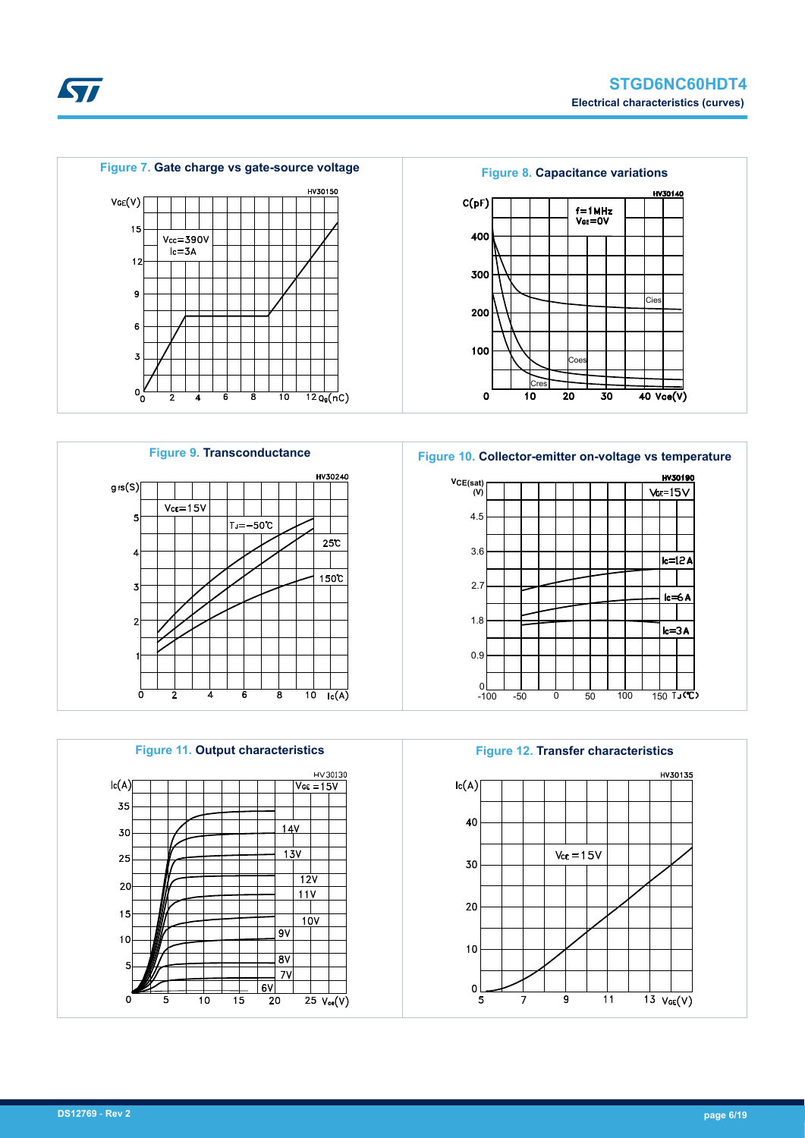HV30140

**Cies** 

 $40 \text{ Vce(V)}$ 



**Figure 9. Transconductance Figure 10. Collector-emitter on-voltage vs temperature** HV30240 **VCE(sat) (V)**  $g$ <sub>f</sub>s $(S)$  $Vce = 15V$ 4.5 5  $T_J = -50^{\circ}C$  $25C$ 3.6 Ź  $150C$ 2.7  $\overline{3}$ 1.8  $\overline{2}$ 0.9 0  $\frac{1}{10}$  $\frac{1}{\log(A)}$ ਫ਼







**STI**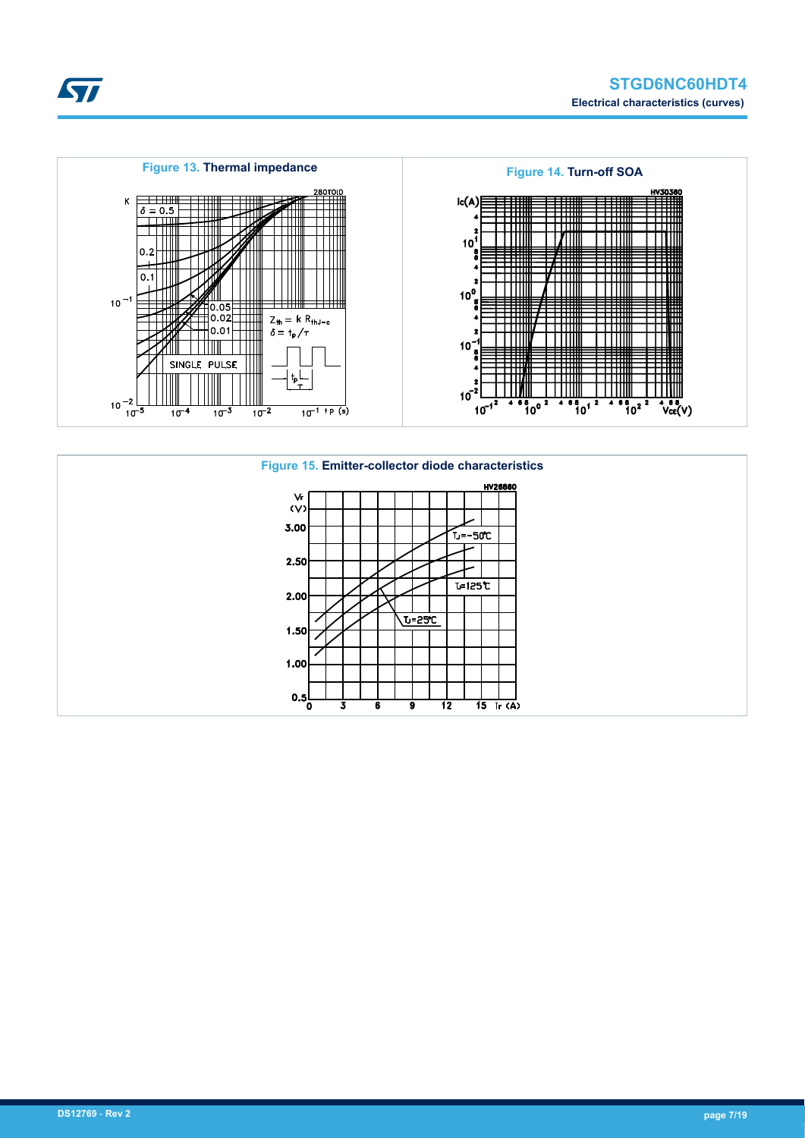



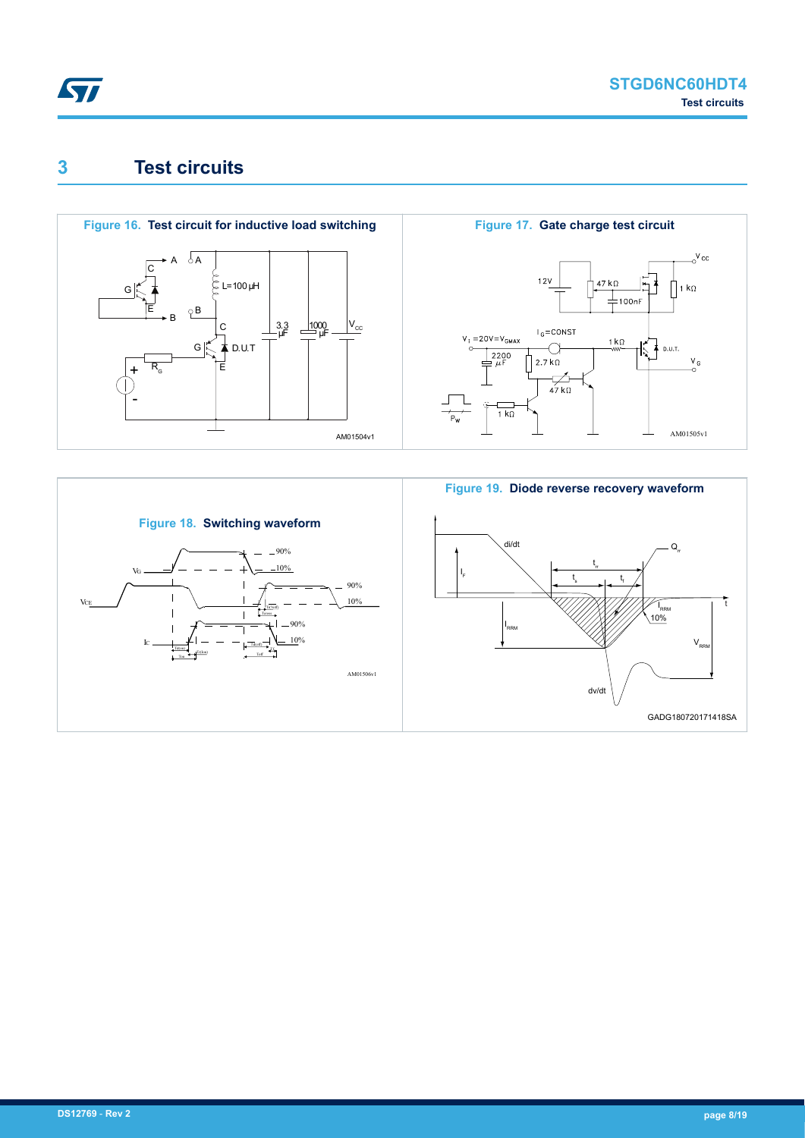<span id="page-7-0"></span>

## **3 Test circuits**



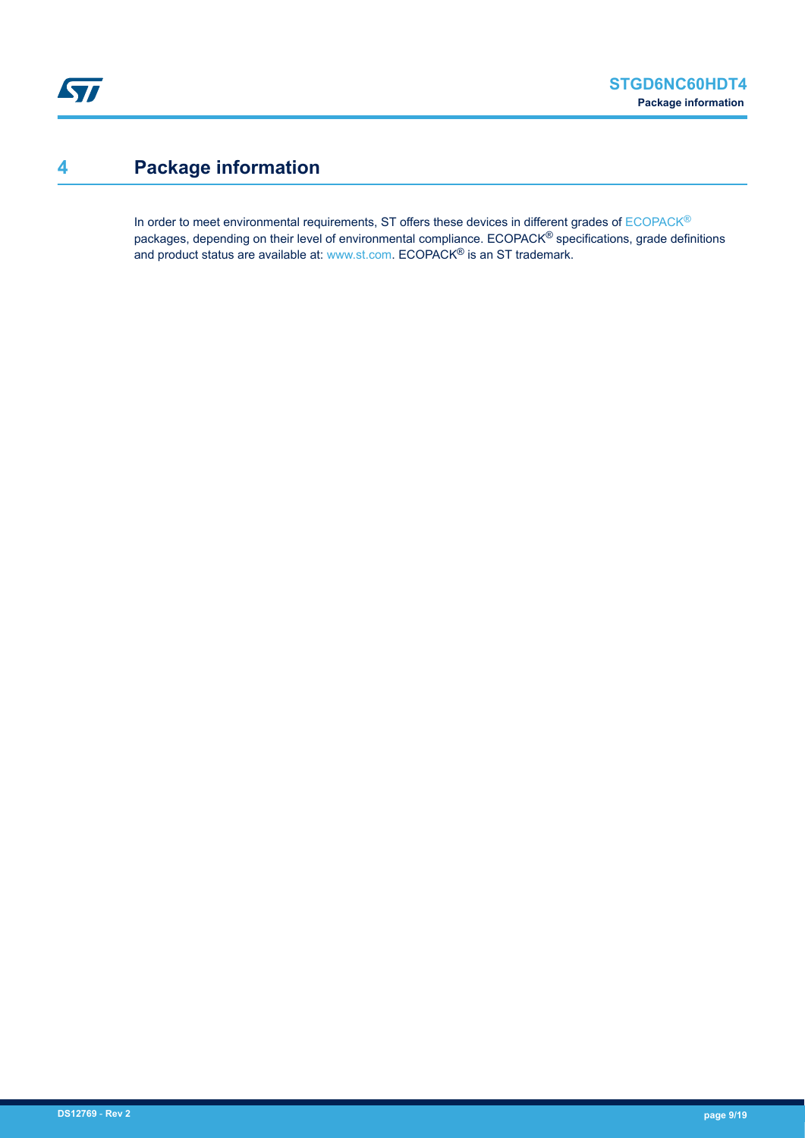# <span id="page-8-0"></span>**4 Package information**

In order to meet environmental requirements, ST offers these devices in different grades of [ECOPACK](https://www.st.com/ecopack)® packages, depending on their level of environmental compliance. ECOPACK® specifications, grade definitions and product status are available at: [www.st.com.](http://www.st.com) ECOPACK® is an ST trademark.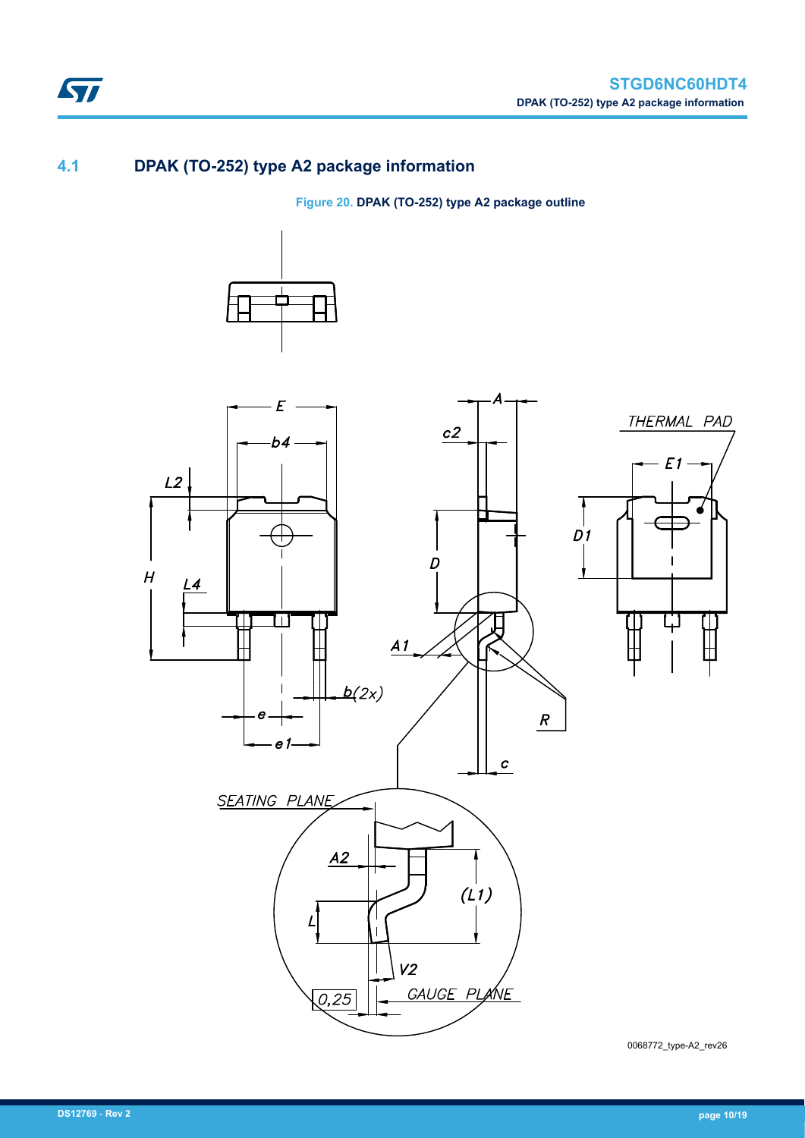### **4.1 DPAK (TO-252) type A2 package information**

ST

**Figure 20. DPAK (TO-252) type A2 package outline**





0068772\_type-A2\_rev26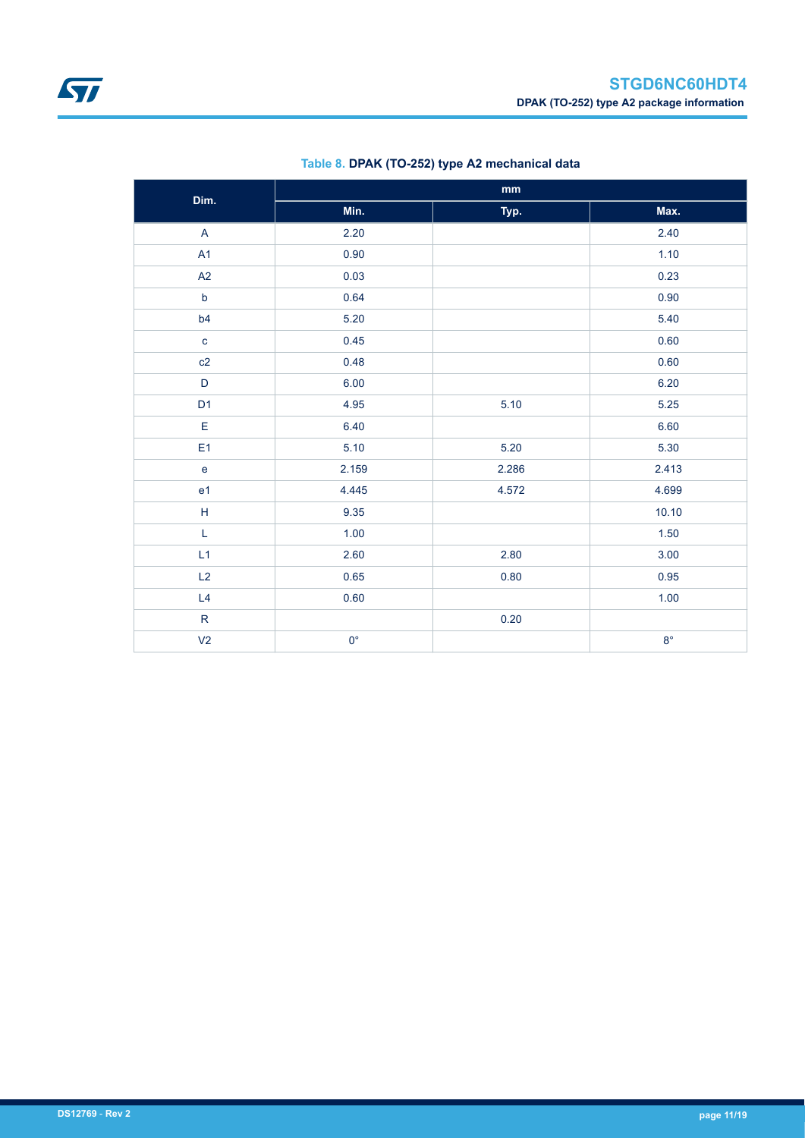<span id="page-10-0"></span>

| Dim.           | mm          |       |             |  |  |  |
|----------------|-------------|-------|-------------|--|--|--|
|                | Min.        | Typ.  | Max.        |  |  |  |
| $\overline{A}$ | 2.20        |       | 2.40        |  |  |  |
| A1             | 0.90        |       | 1.10        |  |  |  |
| A2             | 0.03        |       | 0.23        |  |  |  |
| $\mathsf b$    | 0.64        |       | 0.90        |  |  |  |
| b4             | 5.20        |       | 5.40        |  |  |  |
| $\mathbf c$    | 0.45        |       | 0.60        |  |  |  |
| c2             | 0.48        |       | 0.60        |  |  |  |
| $\mathsf D$    | 6.00        |       | 6.20        |  |  |  |
| D <sub>1</sub> | 4.95        | 5.10  | 5.25        |  |  |  |
| $\mathsf E$    | 6.40        |       | 6.60        |  |  |  |
| E <sub>1</sub> | 5.10        | 5.20  | 5.30        |  |  |  |
| $\mathbf{e}$   | 2.159       | 2.286 | 2.413       |  |  |  |
| e <sub>1</sub> | 4.445       | 4.572 | 4.699       |  |  |  |
| $\mathsf H$    | 9.35        |       | 10.10       |  |  |  |
| $\mathsf L$    | 1.00        |       | 1.50        |  |  |  |
| L1             | 2.60        | 2.80  | 3.00        |  |  |  |
| L2             | 0.65        | 0.80  | 0.95        |  |  |  |
| L4             | 0.60        |       | 1.00        |  |  |  |
| ${\sf R}$      |             | 0.20  |             |  |  |  |
| V <sub>2</sub> | $0^{\circ}$ |       | $8^{\circ}$ |  |  |  |

### **Table 8. DPAK (TO-252) type A2 mechanical data**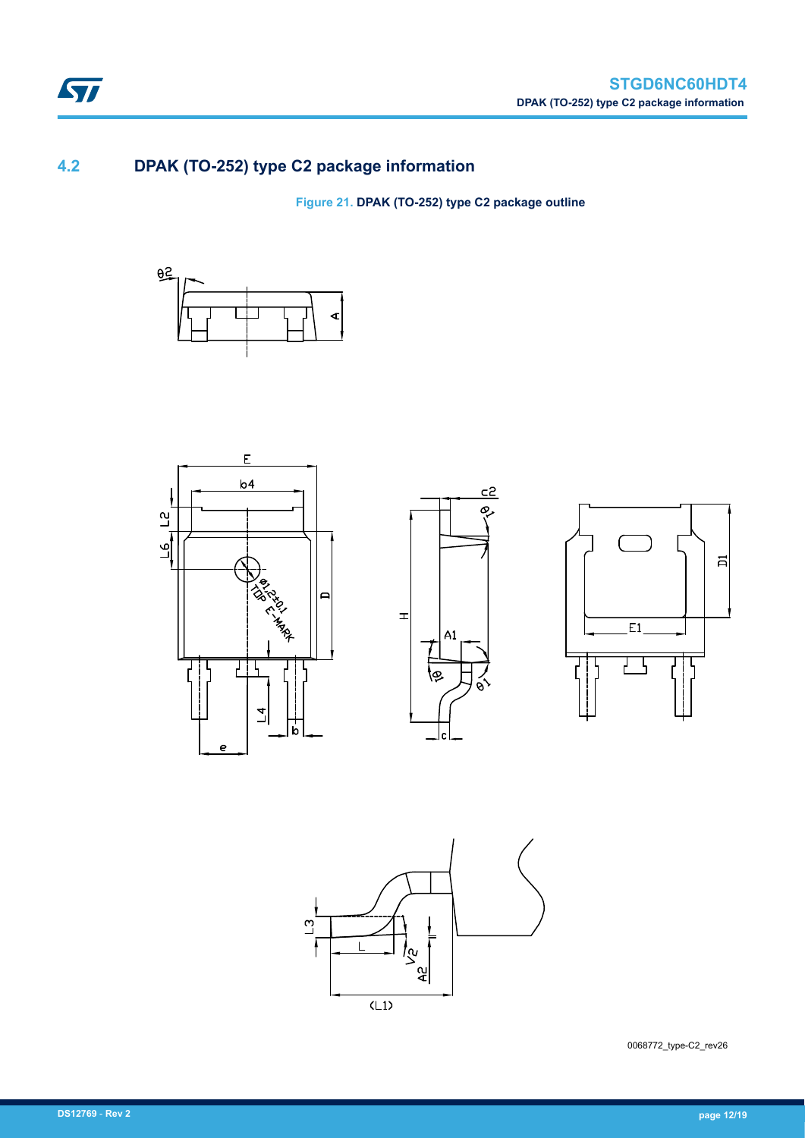

## **4.2 DPAK (TO-252) type C2 package information**

ST

**Figure 21. DPAK (TO-252) type C2 package outline**











0068772\_type-C2\_rev26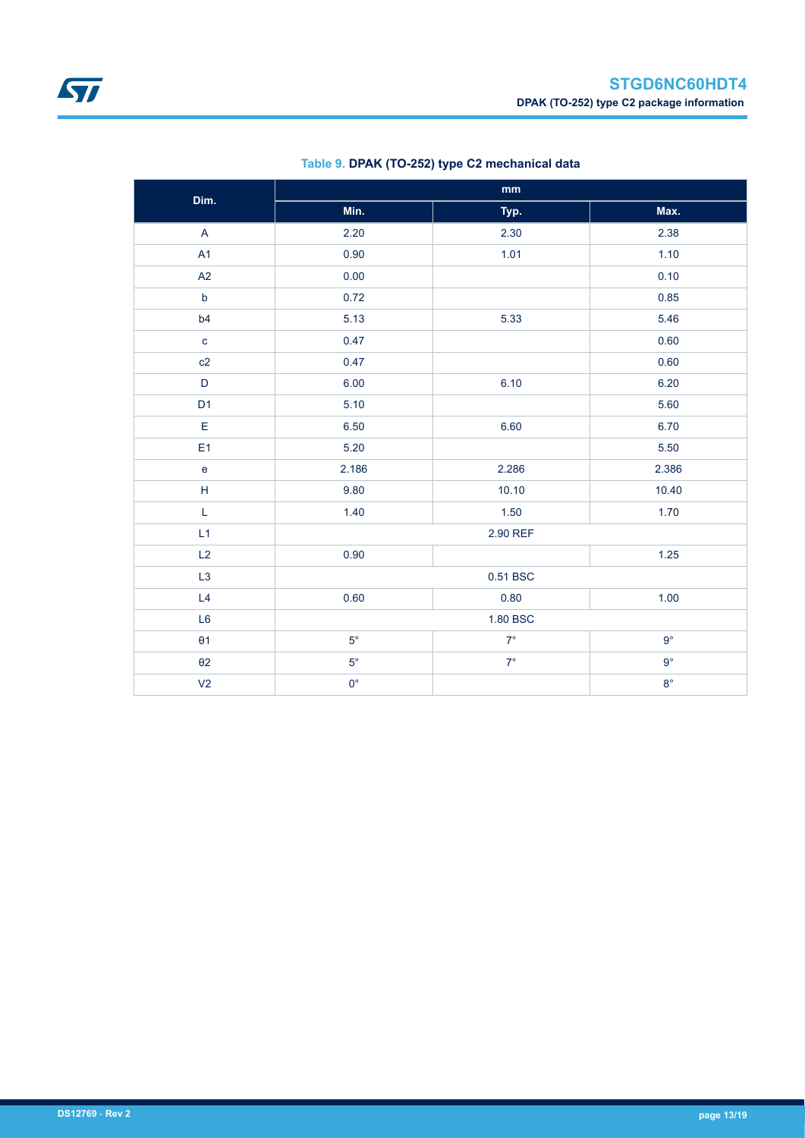| Dim.                              | $\mathbf{mm}$ |             |             |  |  |
|-----------------------------------|---------------|-------------|-------------|--|--|
|                                   | Min.          | Typ.        | Max.        |  |  |
| $\mathsf{A}$                      | 2.20          | 2.30        | 2.38        |  |  |
| A1                                | 0.90          | 1.01        | 1.10        |  |  |
| A2                                | 0.00          |             | 0.10        |  |  |
| $\mathsf b$                       | 0.72          |             | 0.85        |  |  |
| b4                                | 5.13          | 5.33        | 5.46        |  |  |
| $\mathbf{c}$                      | 0.47          |             | 0.60        |  |  |
| c2                                | 0.47          |             | 0.60        |  |  |
| $\mathsf D$                       | 6.00          | 6.10        | 6.20        |  |  |
| D <sub>1</sub>                    | 5.10          |             | 5.60        |  |  |
| $\mathsf E$                       | 6.50          | 6.60        | 6.70        |  |  |
| E <sub>1</sub>                    | 5.20          |             | 5.50        |  |  |
| $\mathsf{e}% _{t}\left( t\right)$ | 2.186         | 2.286       | 2.386       |  |  |
| $\mathsf H$                       | 9.80          | 10.10       | 10.40       |  |  |
| L                                 | 1.40          | 1.50        | 1.70        |  |  |
| L1                                |               | 2.90 REF    |             |  |  |
| L2                                | 0.90          |             | 1.25        |  |  |
| L <sub>3</sub>                    |               | 0.51 BSC    |             |  |  |
| L4                                | 0.60          | 0.80        | 1.00        |  |  |
| L <sub>6</sub>                    |               | 1.80 BSC    |             |  |  |
| $\theta$ 1                        | $5^{\circ}$   | $7^{\circ}$ | $9^{\circ}$ |  |  |
| $\theta$ 2                        | $5^{\circ}$   | $7^{\circ}$ | $9^{\circ}$ |  |  |
| V <sub>2</sub>                    | $0^{\circ}$   |             | $8^\circ$   |  |  |

### **Table 9. DPAK (TO-252) type C2 mechanical data**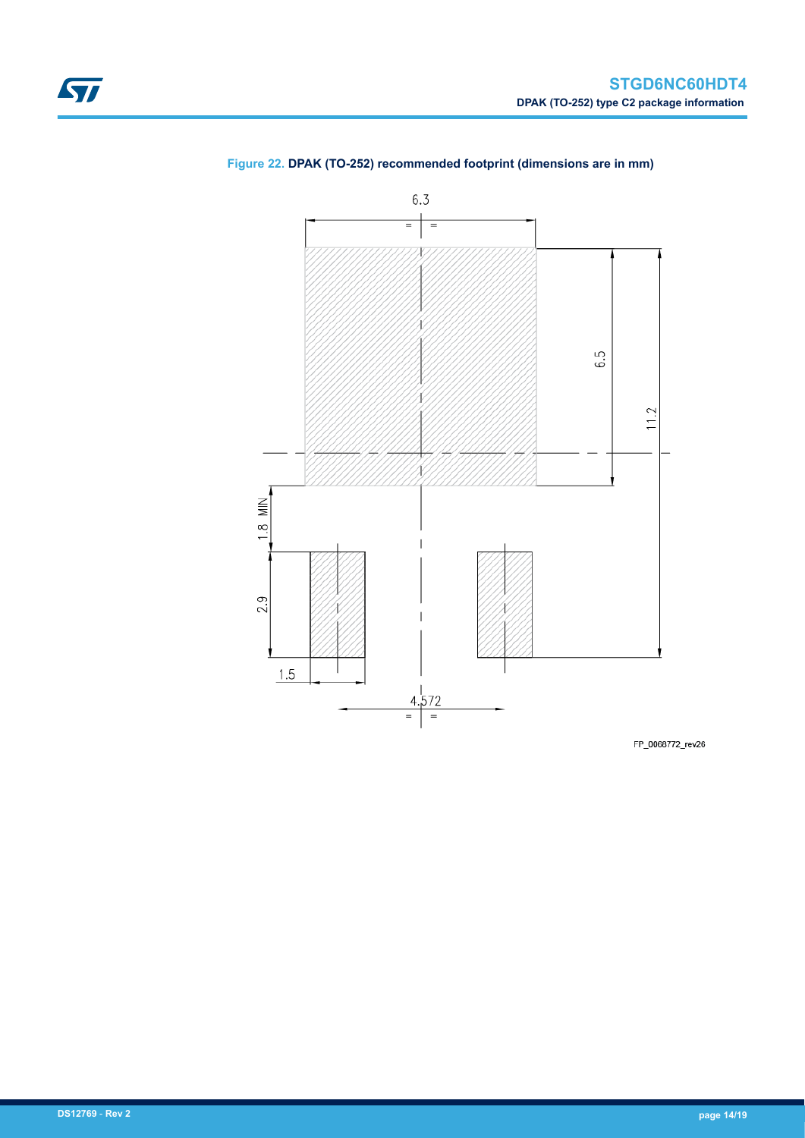

### <span id="page-13-0"></span>**Figure 22. DPAK (TO-252) recommended footprint (dimensions are in mm)**

FP\_0068772\_rev26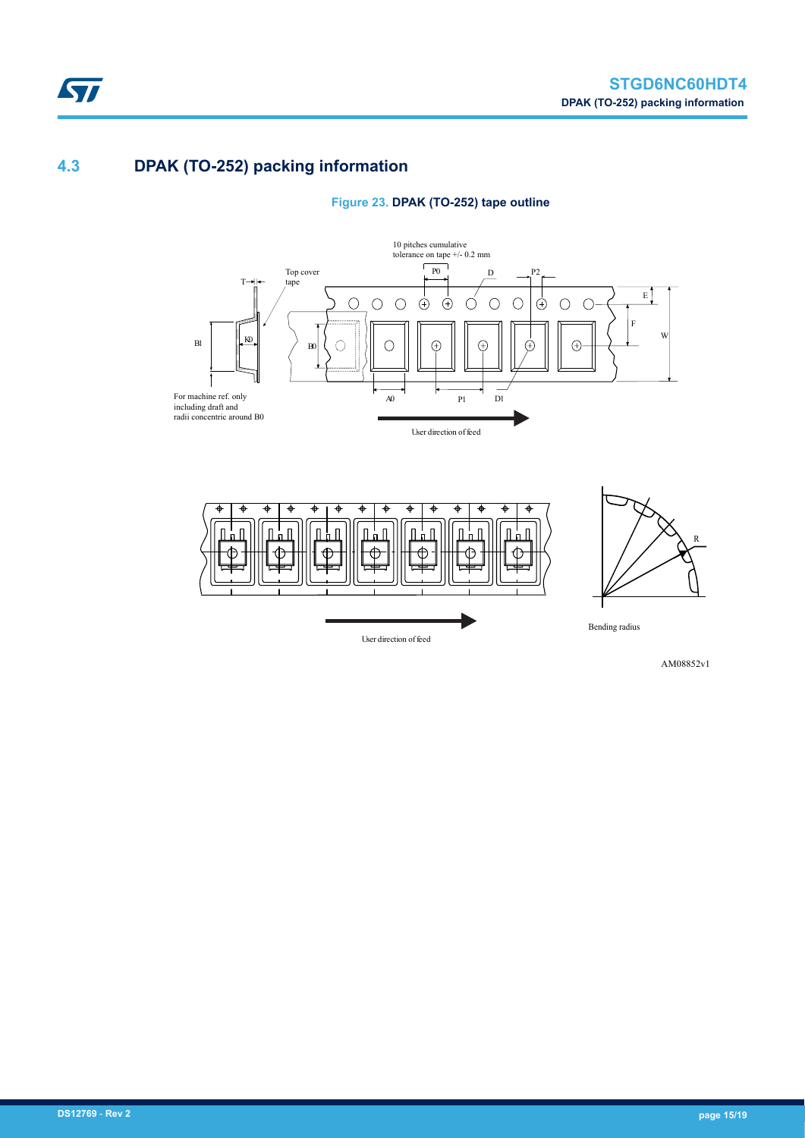## **4.3 DPAK (TO-252) packing information**







AM08852v1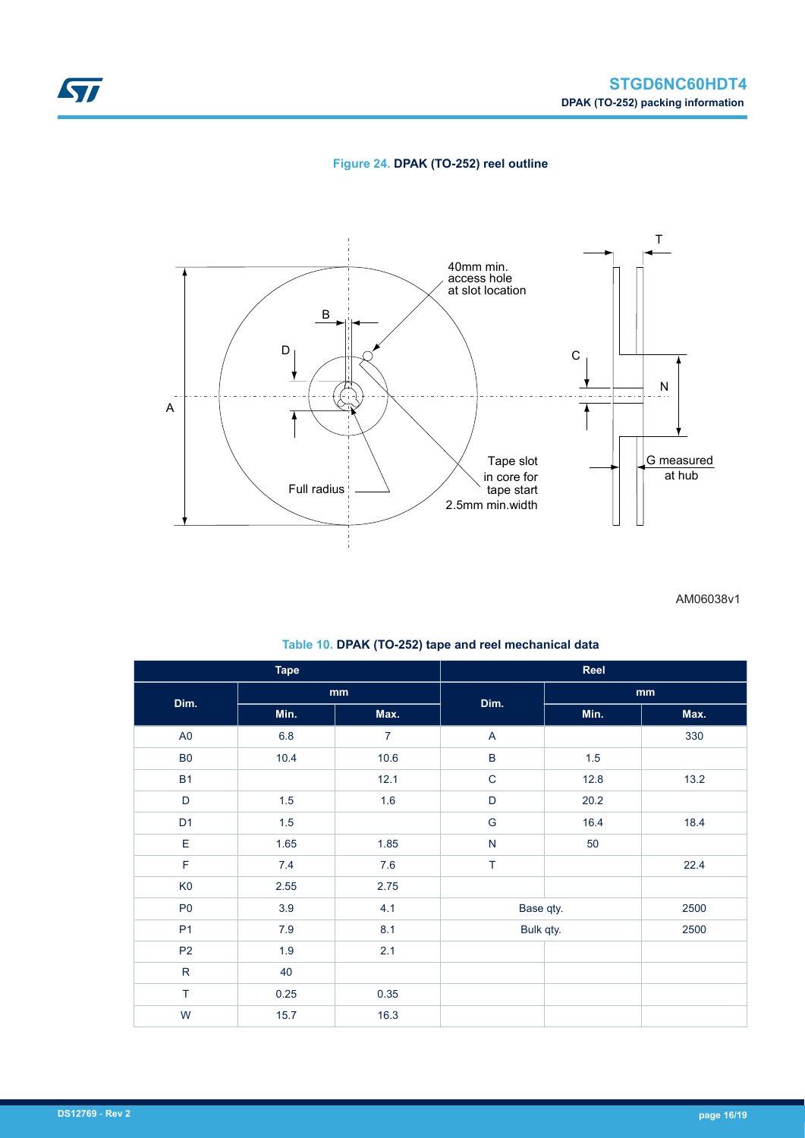

### **Figure 24. DPAK (TO-252) reel outline**



AM06038v1

| <b>Tape</b>    |         |                | Reel          |      |      |
|----------------|---------|----------------|---------------|------|------|
| Dim.           | mm      |                |               | mm   |      |
|                | Min.    | Max.           | Dim.          | Min. | Max. |
| A <sub>0</sub> | $6.8\,$ | $\overline{7}$ | A             |      | 330  |
| B <sub>0</sub> | 10.4    | 10.6           | $\sf B$       | 1.5  |      |
| <b>B1</b>      |         | 12.1           | $\mathbf C$   | 12.8 | 13.2 |
| $\mathsf D$    | 1.5     | 1.6            | $\mathsf D$   | 20.2 |      |
| D <sub>1</sub> | 1.5     |                | ${\mathsf G}$ | 16.4 | 18.4 |
| E              | 1.65    | 1.85           | ${\sf N}$     | 50   |      |
| $\mathsf F$    | $7.4$   | 7.6            | T             |      | 22.4 |
| K <sub>0</sub> | 2.55    | 2.75           |               |      |      |
| P <sub>0</sub> | 3.9     | 4.1            | Base qty.     |      | 2500 |
| P <sub>1</sub> | $7.9$   | 8.1            | Bulk qty.     |      | 2500 |
| P <sub>2</sub> | 1.9     | 2.1            |               |      |      |
| ${\sf R}$      | 40      |                |               |      |      |
| $\top$         | 0.25    | 0.35           |               |      |      |
| W              | 15.7    | 16.3           |               |      |      |

### **Table 10. DPAK (TO-252) tape and reel mechanical data**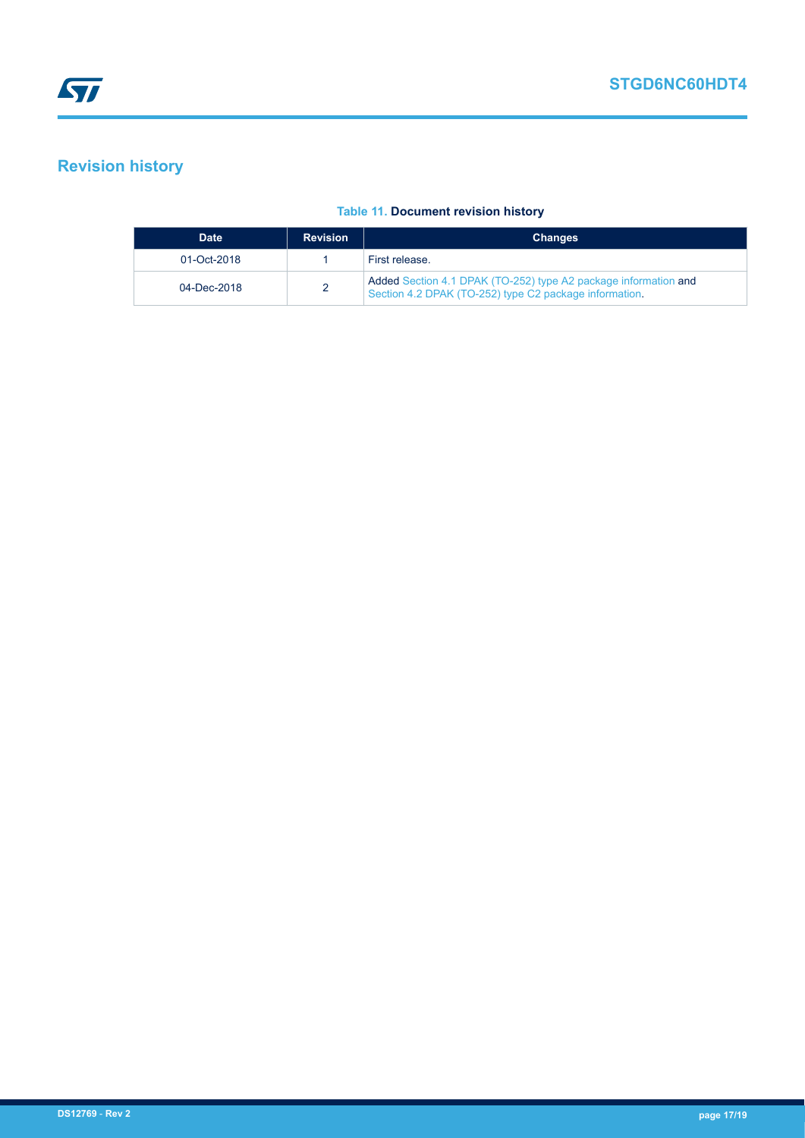# <span id="page-16-0"></span>**Revision history**

#### **Table 11. Document revision history**

| <b>Date</b> | <b>Revision</b> | <b>Changes</b>                                                                                                            |
|-------------|-----------------|---------------------------------------------------------------------------------------------------------------------------|
| 01-Oct-2018 |                 | First release.                                                                                                            |
| 04-Dec-2018 |                 | Added Section 4.1 DPAK (TO-252) type A2 package information and<br>Section 4.2 DPAK (TO-252) type C2 package information. |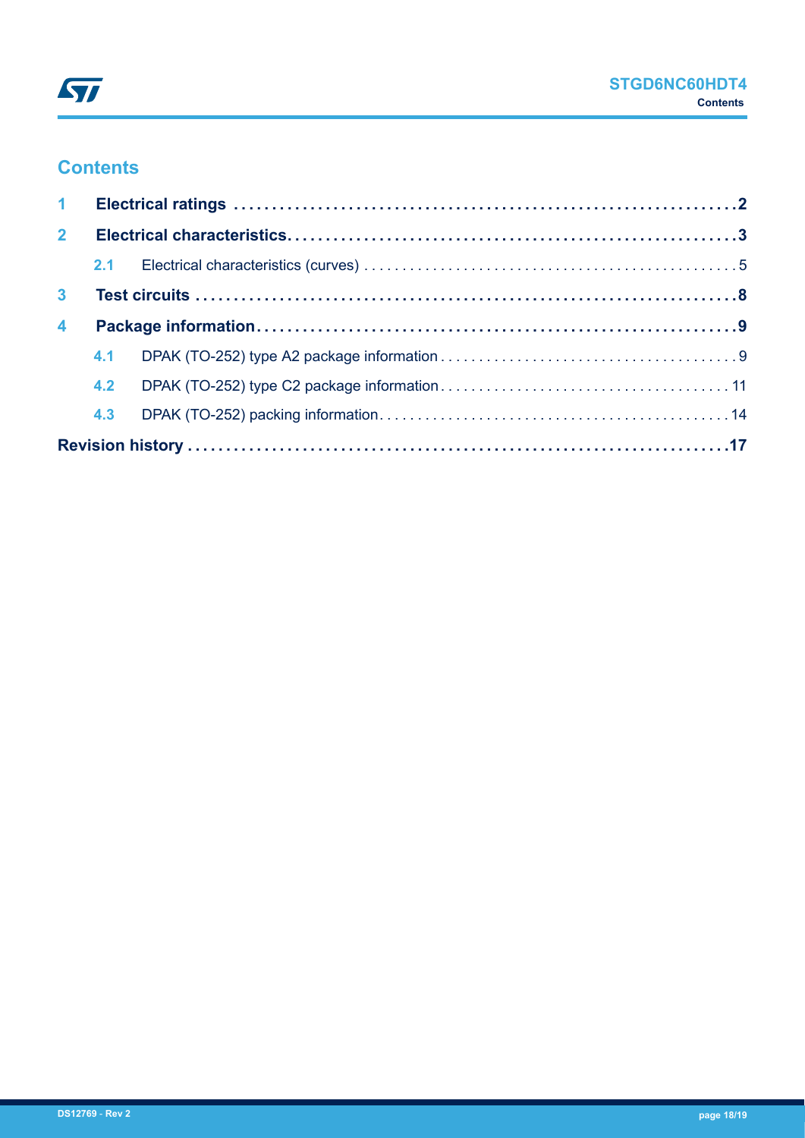## **Contents**

| $\mathbf{1}$     |     |  |  |  |  |  |
|------------------|-----|--|--|--|--|--|
| 2 <sup>7</sup>   |     |  |  |  |  |  |
|                  |     |  |  |  |  |  |
| 3 <sup>1</sup>   |     |  |  |  |  |  |
| $\blacktriangle$ |     |  |  |  |  |  |
|                  |     |  |  |  |  |  |
|                  | 4.2 |  |  |  |  |  |
|                  |     |  |  |  |  |  |
|                  |     |  |  |  |  |  |